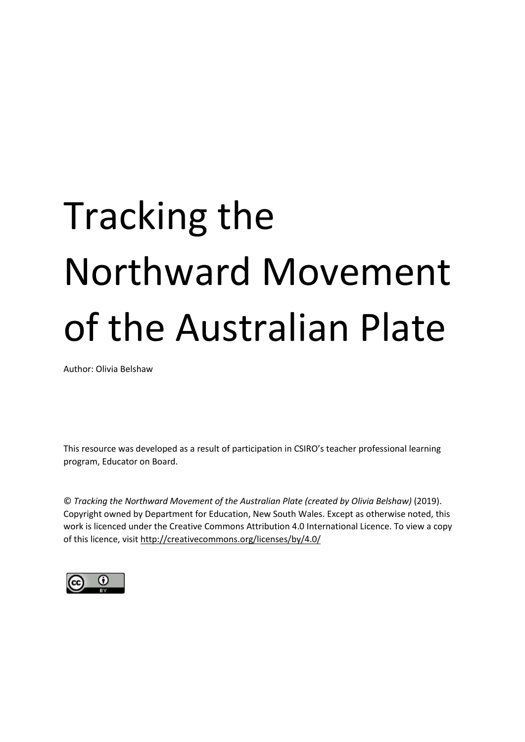# Tracking the Northward Movement of the Australian Plate

Author: Olivia Belshaw

This resource was developed as a result of participation in CSIRO's teacher professional learning program, Educator on Board.

© *Tracking the Northward Movement of the Australian Plate (created by Olivia Belshaw)* (2019). Copyright owned by Department for Education, New South Wales. Except as otherwise noted, this work is licenced under the Creative Commons Attribution 4.0 International Licence. To view a copy of this licence, visit<http://creativecommons.org/licenses/by/4.0/>

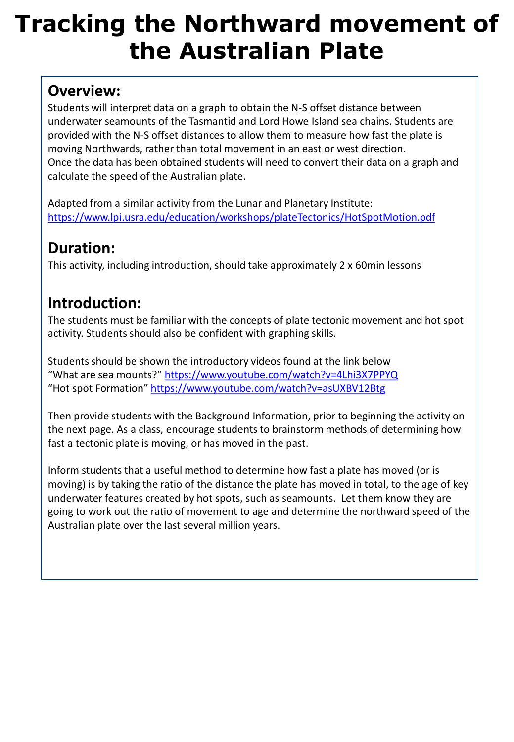## **Tracking the Northward movement of the Australian Plate**

#### **Overview:**

Students will interpret data on a graph to obtain the N-S offset distance between underwater seamounts of the Tasmantid and Lord Howe Island sea chains. Students are provided with the N-S offset distances to allow them to measure how fast the plate is moving Northwards, rather than total movement in an east or west direction. Once the data has been obtained students will need to convert their data on a graph and calculate the speed of the Australian plate.

Adapted from a similar activity from the Lunar and Planetary Institute: <https://www.lpi.usra.edu/education/workshops/plateTectonics/HotSpotMotion.pdf>

### **Duration:**

This activity, including introduction, should take approximately 2 x 60min lessons

### **Introduction:**

The students must be familiar with the concepts of plate tectonic movement and hot spot activity. Students should also be confident with graphing skills.

Students should be shown the introductory videos found at the link below "What are sea mounts?"<https://www.youtube.com/watch?v=4Lhi3X7PPYQ> "Hot spot Formation"<https://www.youtube.com/watch?v=asUXBV12Btg>

Then provide students with the Background Information, prior to beginning the activity on the next page. As a class, encourage students to brainstorm methods of determining how fast a tectonic plate is moving, or has moved in the past.

Inform students that a useful method to determine how fast a plate has moved (or is moving) is by taking the ratio of the distance the plate has moved in total, to the age of key underwater features created by hot spots, such as seamounts. Let them know they are going to work out the ratio of movement to age and determine the northward speed of the Australian plate over the last several million years.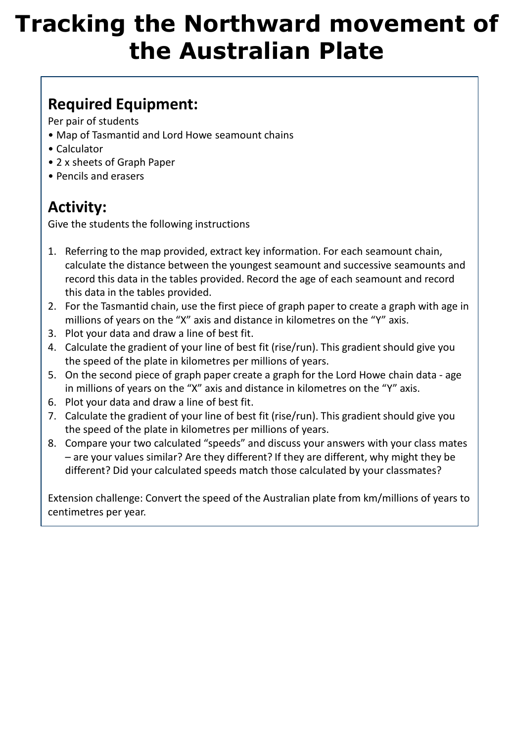## **Tracking the Northward movement of the Australian Plate**

### **Required Equipment:**

Per pair of students

- Map of Tasmantid and Lord Howe seamount chains
- Calculator
- 2 x sheets of Graph Paper
- Pencils and erasers

### **Activity:**

Give the students the following instructions

- 1. Referring to the map provided, extract key information. For each seamount chain, calculate the distance between the youngest seamount and successive seamounts and record this data in the tables provided. Record the age of each seamount and record this data in the tables provided.
- 2. For the Tasmantid chain, use the first piece of graph paper to create a graph with age in millions of years on the "X" axis and distance in kilometres on the "Y" axis.
- 3. Plot your data and draw a line of best fit.
- 4. Calculate the gradient of your line of best fit (rise/run). This gradient should give you the speed of the plate in kilometres per millions of years.
- 5. On the second piece of graph paper create a graph for the Lord Howe chain data age in millions of years on the "X" axis and distance in kilometres on the "Y" axis.
- 6. Plot your data and draw a line of best fit.
- 7. Calculate the gradient of your line of best fit (rise/run). This gradient should give you the speed of the plate in kilometres per millions of years.
- 8. Compare your two calculated "speeds" and discuss your answers with your class mates – are your values similar? Are they different? If they are different, why might they be different? Did your calculated speeds match those calculated by your classmates?

Extension challenge: Convert the speed of the Australian plate from km/millions of years to centimetres per year.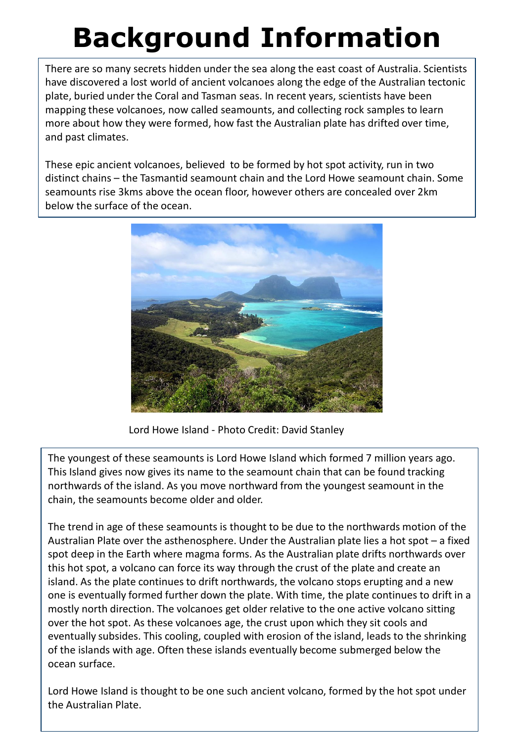## **Background Information**

There are so many secrets hidden under the sea along the east coast of Australia. Scientists have discovered a lost world of ancient volcanoes along the edge of the Australian tectonic plate, buried under the Coral and Tasman seas. In recent years, scientists have been mapping these volcanoes, now called seamounts, and collecting rock samples to learn more about how they were formed, how fast the Australian plate has drifted over time, and past climates.

These epic ancient volcanoes, believed to be formed by hot spot activity, run in two distinct chains – the Tasmantid seamount chain and the Lord Howe seamount chain. Some seamounts rise 3kms above the ocean floor, however others are concealed over 2km below the surface of the ocean.



Lord Howe Island - Photo Credit: David Stanley

The youngest of these seamounts is Lord Howe Island which formed 7 million years ago. This Island gives now gives its name to the seamount chain that can be found tracking northwards of the island. As you move northward from the youngest seamount in the chain, the seamounts become older and older.

The trend in age of these seamounts is thought to be due to the northwards motion of the Australian Plate over the asthenosphere. Under the Australian plate lies a hot spot – a fixed spot deep in the Earth where magma forms. As the Australian plate drifts northwards over this hot spot, a volcano can force its way through the crust of the plate and create an island. As the plate continues to drift northwards, the volcano stops erupting and a new one is eventually formed further down the plate. With time, the plate continues to drift in a mostly north direction. The volcanoes get older relative to the one active volcano sitting over the hot spot. As these volcanoes age, the crust upon which they sit cools and eventually subsides. This cooling, coupled with erosion of the island, leads to the shrinking of the islands with age. Often these islands eventually become submerged below the ocean surface.

Lord Howe Island is thought to be one such ancient volcano, formed by the hot spot under the Australian Plate.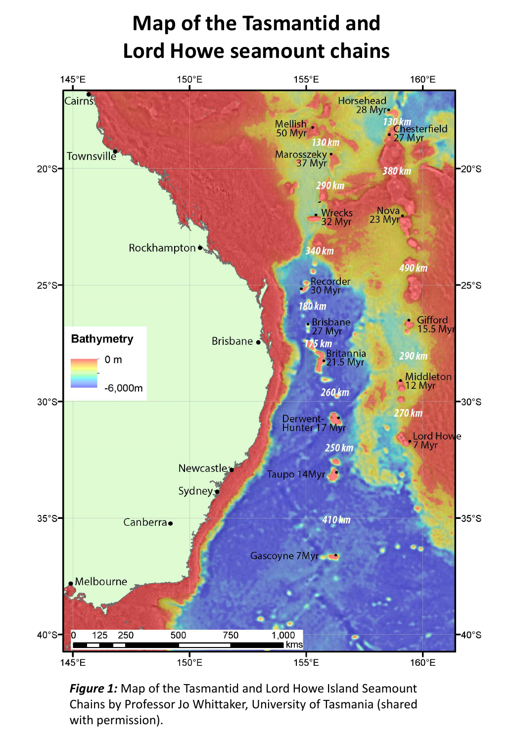## **Map of the Tasmantid and Lord Howe seamount chains**



*Figure 1:* Map of the Tasmantid and Lord Howe Island Seamount Chains by Professor Jo Whittaker, University of Tasmania (shared with permission).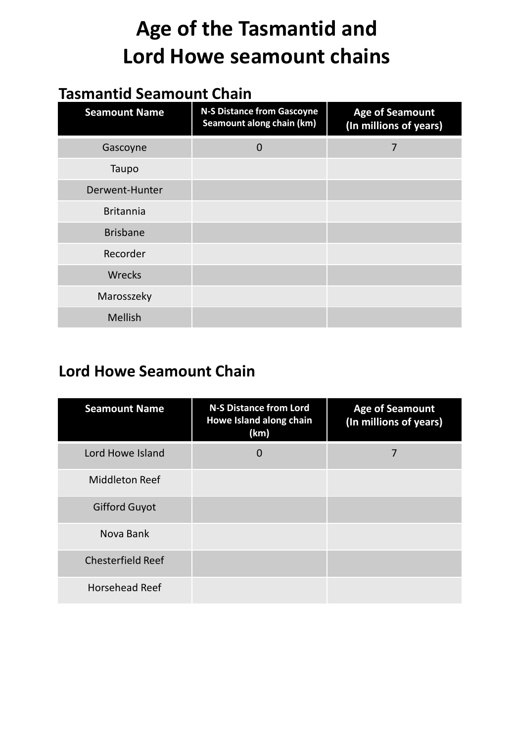## **Age of the Tasmantid and Lord Howe seamount chains**

### **Tasmantid Seamount Chain**

| <b>Seamount Name</b> | <b>N-S Distance from Gascoyne</b><br>Seamount along chain (km) | <b>Age of Seamount</b><br>(In millions of years) |
|----------------------|----------------------------------------------------------------|--------------------------------------------------|
| Gascoyne             | $\Omega$                                                       | 7                                                |
| Taupo                |                                                                |                                                  |
| Derwent-Hunter       |                                                                |                                                  |
| <b>Britannia</b>     |                                                                |                                                  |
| <b>Brisbane</b>      |                                                                |                                                  |
| Recorder             |                                                                |                                                  |
| Wrecks               |                                                                |                                                  |
| Marosszeky           |                                                                |                                                  |
| Mellish              |                                                                |                                                  |

#### **Lord Howe Seamount Chain**

| <b>Seamount Name</b>     | <b>N-S Distance from Lord</b><br>Howe Island along chain<br>(km) | <b>Age of Seamount</b><br>(In millions of years) |
|--------------------------|------------------------------------------------------------------|--------------------------------------------------|
| Lord Howe Island         | $\Omega$                                                         | 7                                                |
| Middleton Reef           |                                                                  |                                                  |
| <b>Gifford Guyot</b>     |                                                                  |                                                  |
| Nova Bank                |                                                                  |                                                  |
| <b>Chesterfield Reef</b> |                                                                  |                                                  |
| <b>Horsehead Reef</b>    |                                                                  |                                                  |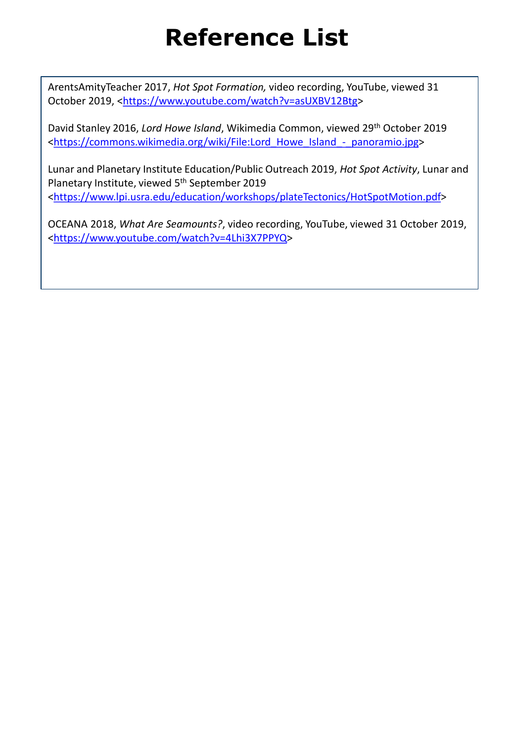## **Reference List**

ArentsAmityTeacher 2017, *Hot Spot Formation,* video recording, YouTube, viewed 31 October 2019, [<https://www.youtube.com/watch?v=asUXBV12Btg>](https://www.youtube.com/watch?v=asUXBV12Btg)

David Stanley 2016, *Lord Howe Island*, Wikimedia Common, viewed 29th October 2019 [<https://commons.wikimedia.org/wiki/File:Lord\\_Howe\\_Island\\_-\\_panoramio.jpg](https://commons.wikimedia.org/wiki/File:Lord_Howe_Island_-_panoramio.jpg)>

Lunar and Planetary Institute Education/Public Outreach 2019, *Hot Spot Activity*, Lunar and Planetary Institute, viewed 5<sup>th</sup> September 2019 [<https://www.lpi.usra.edu/education/workshops/plateTectonics/HotSpotMotion.pdf>](https://www.lpi.usra.edu/education/workshops/plateTectonics/HotSpotMotion.pdf)

OCEANA 2018, *What Are Seamounts?*, video recording, YouTube, viewed 31 October 2019, [<https://www.youtube.com/watch?v=4Lhi3X7PPYQ>](https://www.youtube.com/watch?v=4Lhi3X7PPYQ)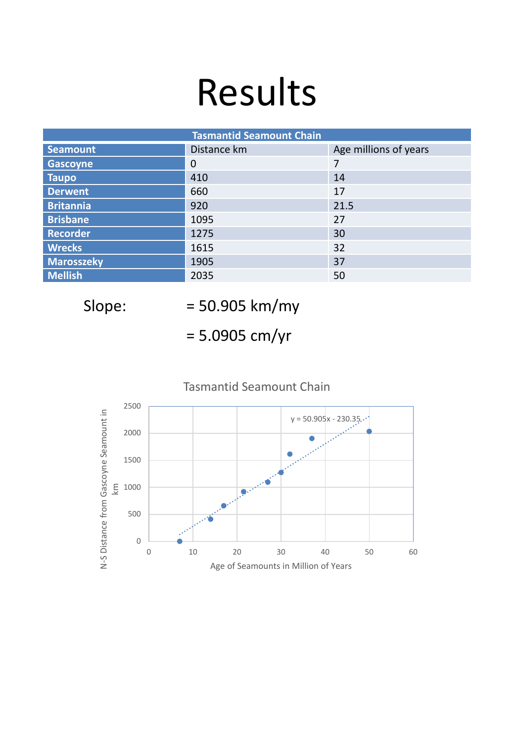## Results

| <b>Tasmantid Seamount Chain</b> |             |                       |  |
|---------------------------------|-------------|-----------------------|--|
| <b>Seamount</b>                 | Distance km | Age millions of years |  |
| <b>Gascoyne</b>                 | 0           | 7                     |  |
| <b>Taupo</b>                    | 410         | 14                    |  |
| <b>Derwent</b>                  | 660         | 17                    |  |
| <b>Britannia</b>                | 920         | 21.5                  |  |
| <b>Brisbane</b>                 | 1095        | 27                    |  |
| <b>Recorder</b>                 | 1275        | 30                    |  |
| <b>Wrecks</b>                   | 1615        | 32                    |  |
| <b>Marosszeky</b>               | 1905        | 37                    |  |
| <b>Mellish</b>                  | 2035        | 50                    |  |

Slope: = 50.905 km/my

= 5.0905 cm/yr